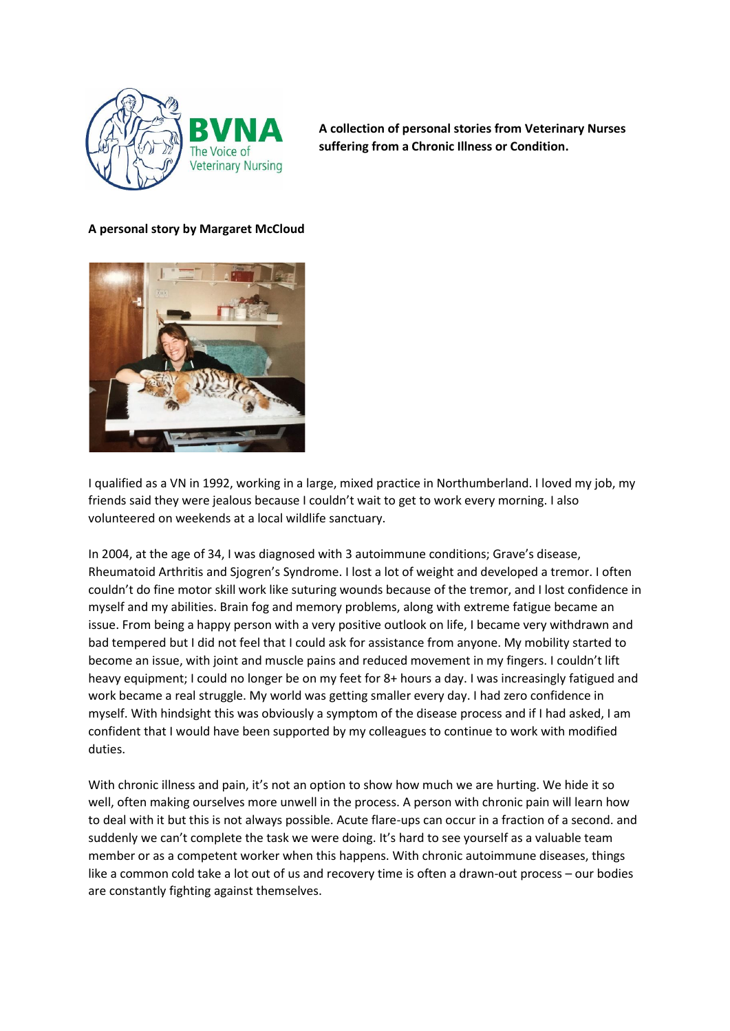

**A collection of personal stories from Veterinary Nurses suffering from a Chronic Illness or Condition.** 

## **A personal story by Margaret McCloud**



I qualified as a VN in 1992, working in a large, mixed practice in Northumberland. I loved my job, my friends said they were jealous because I couldn't wait to get to work every morning. I also volunteered on weekends at a local wildlife sanctuary.

In 2004, at the age of 34, I was diagnosed with 3 autoimmune conditions; Grave's disease, Rheumatoid Arthritis and Sjogren's Syndrome. I lost a lot of weight and developed a tremor. I often couldn't do fine motor skill work like suturing wounds because of the tremor, and I lost confidence in myself and my abilities. Brain fog and memory problems, along with extreme fatigue became an issue. From being a happy person with a very positive outlook on life, I became very withdrawn and bad tempered but I did not feel that I could ask for assistance from anyone. My mobility started to become an issue, with joint and muscle pains and reduced movement in my fingers. I couldn't lift heavy equipment; I could no longer be on my feet for 8+ hours a day. I was increasingly fatigued and work became a real struggle. My world was getting smaller every day. I had zero confidence in myself. With hindsight this was obviously a symptom of the disease process and if I had asked, I am confident that I would have been supported by my colleagues to continue to work with modified duties.

With chronic illness and pain, it's not an option to show how much we are hurting. We hide it so well, often making ourselves more unwell in the process. A person with chronic pain will learn how to deal with it but this is not always possible. Acute flare-ups can occur in a fraction of a second. and suddenly we can't complete the task we were doing. It's hard to see yourself as a valuable team member or as a competent worker when this happens. With chronic autoimmune diseases, things like a common cold take a lot out of us and recovery time is often a drawn-out process – our bodies are constantly fighting against themselves.